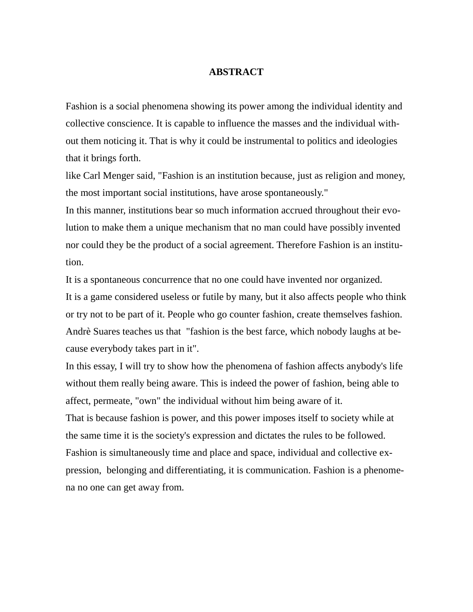## **ABSTRACT**

Fashion is a social phenomena showing its power among the individual identity and collective conscience. It is capable to influence the masses and the individual without them noticing it. That is why it could be instrumental to politics and ideologies that it brings forth.

like Carl Menger said, "Fashion is an institution because, just as religion and money, the most important social institutions, have arose spontaneously."

In this manner, institutions bear so much information accrued throughout their evolution to make them a unique mechanism that no man could have possibly invented nor could they be the product of a social agreement. Therefore Fashion is an institution.

It is a spontaneous concurrence that no one could have invented nor organized. It is a game considered useless or futile by many, but it also affects people who think or try not to be part of it. People who go counter fashion, create themselves fashion. Andrè Suares teaches us that "fashion is the best farce, which nobody laughs at because everybody takes part in it".

In this essay, I will try to show how the phenomena of fashion affects anybody's life without them really being aware. This is indeed the power of fashion, being able to affect, permeate, "own" the individual without him being aware of it.

That is because fashion is power, and this power imposes itself to society while at the same time it is the society's expression and dictates the rules to be followed. Fashion is simultaneously time and place and space, individual and collective expression, belonging and differentiating, it is communication. Fashion is a phenomena no one can get away from.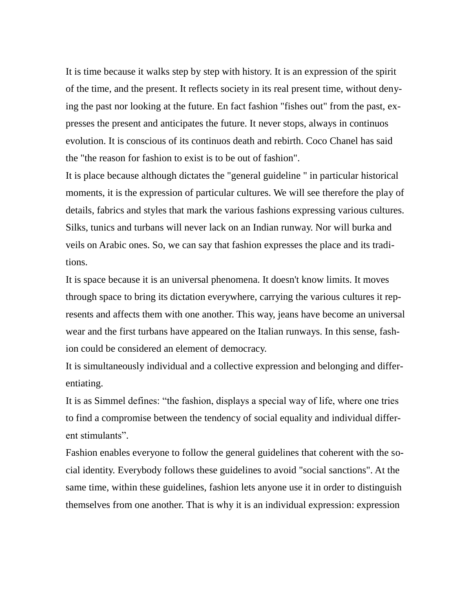It is time because it walks step by step with history. It is an expression of the spirit of the time, and the present. It reflects society in its real present time, without denying the past nor looking at the future. En fact fashion "fishes out" from the past, expresses the present and anticipates the future. It never stops, always in continuos evolution. It is conscious of its continuos death and rebirth. Coco Chanel has said the "the reason for fashion to exist is to be out of fashion".

It is place because although dictates the "general guideline " in particular historical moments, it is the expression of particular cultures. We will see therefore the play of details, fabrics and styles that mark the various fashions expressing various cultures. Silks, tunics and turbans will never lack on an Indian runway. Nor will burka and veils on Arabic ones. So, we can say that fashion expresses the place and its traditions.

It is space because it is an universal phenomena. It doesn't know limits. It moves through space to bring its dictation everywhere, carrying the various cultures it represents and affects them with one another. This way, jeans have become an universal wear and the first turbans have appeared on the Italian runways. In this sense, fashion could be considered an element of democracy.

It is simultaneously individual and a collective expression and belonging and differentiating.

It is as Simmel defines: "the fashion, displays a special way of life, where one tries to find a compromise between the tendency of social equality and individual different stimulants".

Fashion enables everyone to follow the general guidelines that coherent with the social identity. Everybody follows these guidelines to avoid "social sanctions". At the same time, within these guidelines, fashion lets anyone use it in order to distinguish themselves from one another. That is why it is an individual expression: expression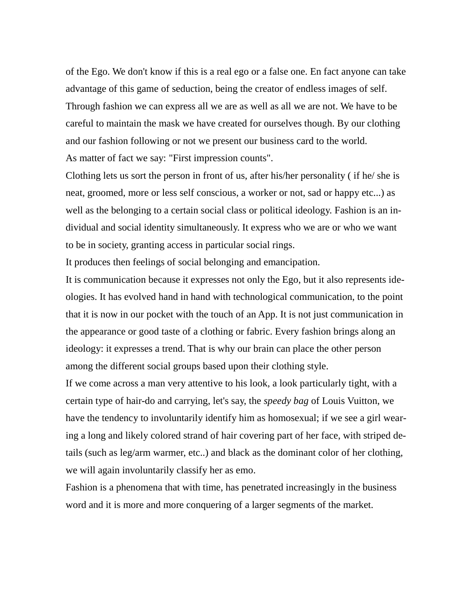of the Ego. We don't know if this is a real ego or a false one. En fact anyone can take advantage of this game of seduction, being the creator of endless images of self. Through fashion we can express all we are as well as all we are not. We have to be careful to maintain the mask we have created for ourselves though. By our clothing and our fashion following or not we present our business card to the world. As matter of fact we say: "First impression counts".

Clothing lets us sort the person in front of us, after his/her personality ( if he/ she is neat, groomed, more or less self conscious, a worker or not, sad or happy etc...) as well as the belonging to a certain social class or political ideology. Fashion is an individual and social identity simultaneously. It express who we are or who we want to be in society, granting access in particular social rings.

It produces then feelings of social belonging and emancipation.

It is communication because it expresses not only the Ego, but it also represents ideologies. It has evolved hand in hand with technological communication, to the point that it is now in our pocket with the touch of an App. It is not just communication in the appearance or good taste of a clothing or fabric. Every fashion brings along an ideology: it expresses a trend. That is why our brain can place the other person among the different social groups based upon their clothing style.

If we come across a man very attentive to his look, a look particularly tight, with a certain type of hair-do and carrying, let's say, the *speedy bag* of Louis Vuitton, we have the tendency to involuntarily identify him as homosexual; if we see a girl wearing a long and likely colored strand of hair covering part of her face, with striped details (such as leg/arm warmer, etc..) and black as the dominant color of her clothing, we will again involuntarily classify her as emo.

Fashion is a phenomena that with time, has penetrated increasingly in the business word and it is more and more conquering of a larger segments of the market.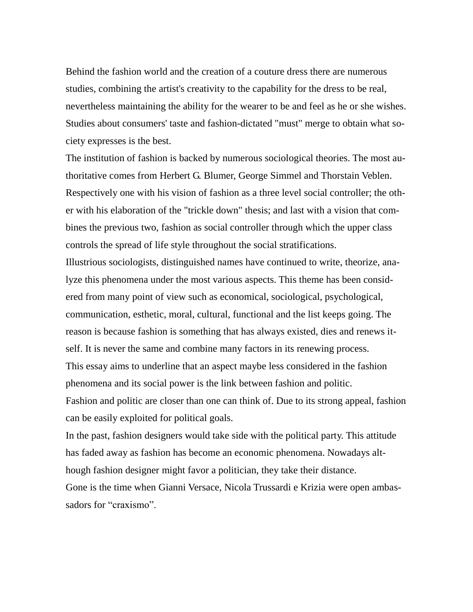Behind the fashion world and the creation of a couture dress there are numerous studies, combining the artist's creativity to the capability for the dress to be real, nevertheless maintaining the ability for the wearer to be and feel as he or she wishes. Studies about consumers' taste and fashion-dictated "must" merge to obtain what society expresses is the best.

The institution of fashion is backed by numerous sociological theories. The most authoritative comes from Herbert G. Blumer, George Simmel and Thorstain Veblen. Respectively one with his vision of fashion as a three level social controller; the other with his elaboration of the "trickle down" thesis; and last with a vision that combines the previous two, fashion as social controller through which the upper class controls the spread of life style throughout the social stratifications.

Illustrious sociologists, distinguished names have continued to write, theorize, analyze this phenomena under the most various aspects. This theme has been considered from many point of view such as economical, sociological, psychological, communication, esthetic, moral, cultural, functional and the list keeps going. The reason is because fashion is something that has always existed, dies and renews itself. It is never the same and combine many factors in its renewing process. This essay aims to underline that an aspect maybe less considered in the fashion phenomena and its social power is the link between fashion and politic. Fashion and politic are closer than one can think of. Due to its strong appeal, fashion can be easily exploited for political goals.

In the past, fashion designers would take side with the political party. This attitude has faded away as fashion has become an economic phenomena. Nowadays although fashion designer might favor a politician, they take their distance. Gone is the time when Gianni Versace, Nicola Trussardi e Krizia were open ambassadors for "craxismo".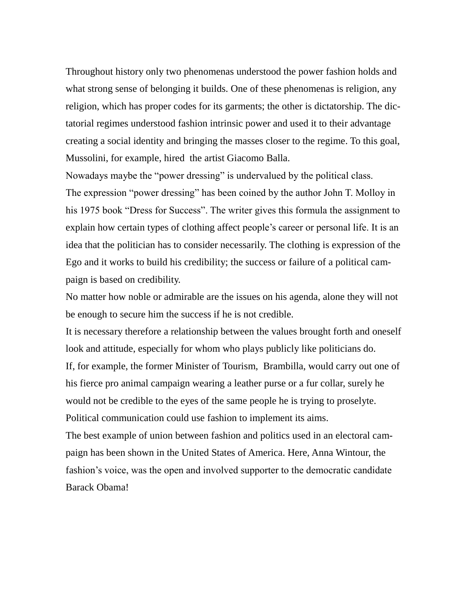Throughout history only two phenomenas understood the power fashion holds and what strong sense of belonging it builds. One of these phenomenas is religion, any religion, which has proper codes for its garments; the other is dictatorship. The dictatorial regimes understood fashion intrinsic power and used it to their advantage creating a social identity and bringing the masses closer to the regime. To this goal, Mussolini, for example, hired the artist Giacomo Balla.

Nowadays maybe the "power dressing" is undervalued by the political class. The expression "power dressing" has been coined by the author John T. Molloy in his 1975 book "Dress for Success". The writer gives this formula the assignment to explain how certain types of clothing affect people's career or personal life. It is an idea that the politician has to consider necessarily. The clothing is expression of the Ego and it works to build his credibility; the success or failure of a political campaign is based on credibility.

No matter how noble or admirable are the issues on his agenda, alone they will not be enough to secure him the success if he is not credible.

It is necessary therefore a relationship between the values brought forth and oneself look and attitude, especially for whom who plays publicly like politicians do. If, for example, the former Minister of Tourism, Brambilla, would carry out one of his fierce pro animal campaign wearing a leather purse or a fur collar, surely he would not be credible to the eyes of the same people he is trying to proselyte. Political communication could use fashion to implement its aims.

The best example of union between fashion and politics used in an electoral campaign has been shown in the United States of America. Here, Anna Wintour, the fashion's voice, was the open and involved supporter to the democratic candidate Barack Obama!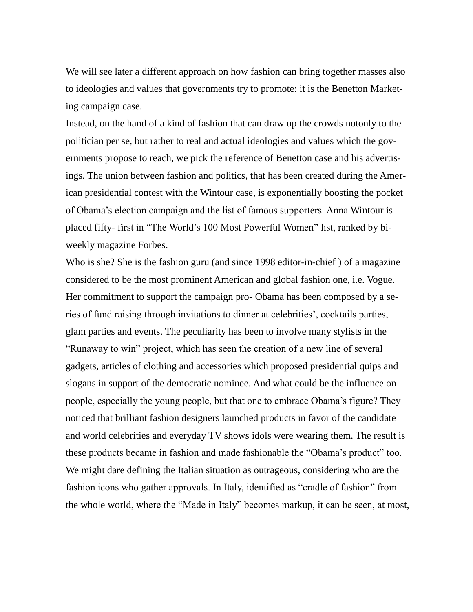We will see later a different approach on how fashion can bring together masses also to ideologies and values that governments try to promote: it is the Benetton Marketing campaign case.

Instead, on the hand of a kind of fashion that can draw up the crowds notonly to the politician per se, but rather to real and actual ideologies and values which the governments propose to reach, we pick the reference of Benetton case and his advertisings. The union between fashion and politics, that has been created during the American presidential contest with the Wintour case, is exponentially boosting the pocket of Obama's election campaign and the list of famous supporters. Anna Wintour is placed fifty- first in "The World's 100 Most Powerful Women" list, ranked by biweekly magazine Forbes.

Who is she? She is the fashion guru (and since 1998 editor-in-chief ) of a magazine considered to be the most prominent American and global fashion one, i.e. Vogue. Her commitment to support the campaign pro- Obama has been composed by a series of fund raising through invitations to dinner at celebrities', cocktails parties, glam parties and events. The peculiarity has been to involve many stylists in the "Runaway to win" project, which has seen the creation of a new line of several gadgets, articles of clothing and accessories which proposed presidential quips and slogans in support of the democratic nominee. And what could be the influence on people, especially the young people, but that one to embrace Obama's figure? They noticed that brilliant fashion designers launched products in favor of the candidate and world celebrities and everyday TV shows idols were wearing them. The result is these products became in fashion and made fashionable the "Obama's product" too. We might dare defining the Italian situation as outrageous, considering who are the fashion icons who gather approvals. In Italy, identified as "cradle of fashion" from the whole world, where the "Made in Italy" becomes markup, it can be seen, at most,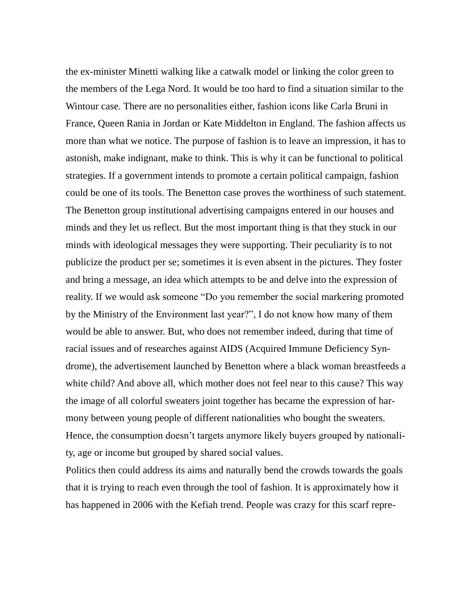the ex-minister Minetti walking like a catwalk model or linking the color green to the members of the Lega Nord. It would be too hard to find a situation similar to the Wintour case. There are no personalities either, fashion icons like Carla Bruni in France, Queen Rania in Jordan or Kate Middelton in England. The fashion affects us more than what we notice. The purpose of fashion is to leave an impression, it has to astonish, make indignant, make to think. This is why it can be functional to political strategies. If a government intends to promote a certain political campaign, fashion could be one of its tools. The Benetton case proves the worthiness of such statement. The Benetton group institutional advertising campaigns entered in our houses and minds and they let us reflect. But the most important thing is that they stuck in our minds with ideological messages they were supporting. Their peculiarity is to not publicize the product per se; sometimes it is even absent in the pictures. They foster and bring a message, an idea which attempts to be and delve into the expression of reality. If we would ask someone "Do you remember the social markering promoted by the Ministry of the Environment last year?", I do not know how many of them would be able to answer. But, who does not remember indeed, during that time of racial issues and of researches against AIDS (Acquired Immune Deficiency Syndrome), the advertisement launched by Benetton where a black woman breastfeeds a white child? And above all, which mother does not feel near to this cause? This way the image of all colorful sweaters joint together has became the expression of harmony between young people of different nationalities who bought the sweaters. Hence, the consumption doesn't targets anymore likely buyers grouped by nationality, age or income but grouped by shared social values.

Politics then could address its aims and naturally bend the crowds towards the goals that it is trying to reach even through the tool of fashion. It is approximately how it has happened in 2006 with the Kefiah trend. People was crazy for this scarf repre